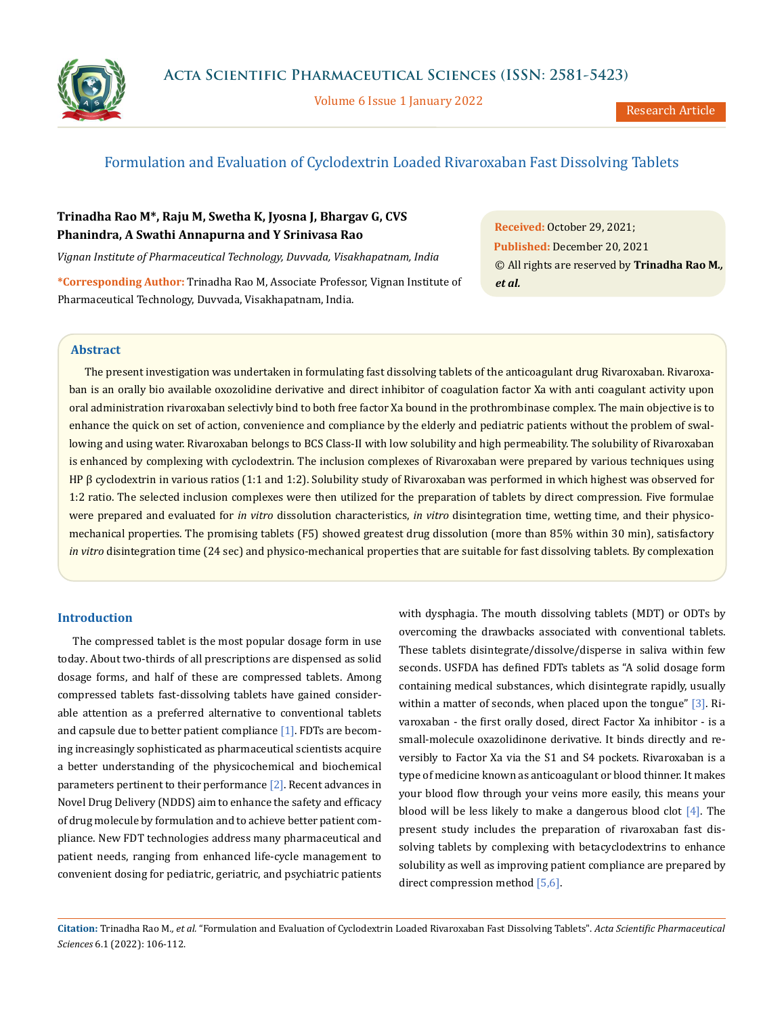

Volume 6 Issue 1 January 2022

# Formulation and Evaluation of Cyclodextrin Loaded Rivaroxaban Fast Dissolving Tablets

## **Trinadha Rao M\*, Raju M, Swetha K, Jyosna J, Bhargav G, CVS Phanindra, A Swathi Annapurna and Y Srinivasa Rao**

*Vignan Institute of Pharmaceutical Technology, Duvvada, Visakhapatnam, India*

**Received:** October 29, 2021; **Published:** December 20, 2021 © All rights are reserved by **Trinadha Rao M***., et al.*

**\*Corresponding Author:** Trinadha Rao M, Associate Professor, Vignan Institute of Pharmaceutical Technology, Duvvada, Visakhapatnam, India.

## **Abstract**

The present investigation was undertaken in formulating fast dissolving tablets of the anticoagulant drug Rivaroxaban. Rivaroxaban is an orally bio available oxozolidine derivative and direct inhibitor of coagulation factor Xa with anti coagulant activity upon oral administration rivaroxaban selectivly bind to both free factor Xa bound in the prothrombinase complex. The main objective is to enhance the quick on set of action, convenience and compliance by the elderly and pediatric patients without the problem of swallowing and using water. Rivaroxaban belongs to BCS Class-II with low solubility and high permeability. The solubility of Rivaroxaban is enhanced by complexing with cyclodextrin. The inclusion complexes of Rivaroxaban were prepared by various techniques using HP β cyclodextrin in various ratios (1:1 and 1:2). Solubility study of Rivaroxaban was performed in which highest was observed for 1:2 ratio. The selected inclusion complexes were then utilized for the preparation of tablets by direct compression. Five formulae were prepared and evaluated for *in vitro* dissolution characteristics, *in vitro* disintegration time, wetting time, and their physicomechanical properties. The promising tablets (F5) showed greatest drug dissolution (more than 85% within 30 min), satisfactory *in vitro* disintegration time (24 sec) and physico-mechanical properties that are suitable for fast dissolving tablets. By complexation

## **Introduction**

The compressed tablet is the most popular [dosage form](https://en.wikipedia.org/wiki/Dosage_form) in use today. About two-thirds of all [prescriptions](https://en.wikipedia.org/wiki/Medical_prescription) are dispensed as solid dosage forms, and half of these are compressed tablets. Among compressed tablets fast-dissolving tablets have gained considerable attention as a preferred alternative to conventional tablets and capsule due to better patient compliance [1]. FDTs are becoming increasingly sophisticated as pharmaceutical scientists acquire a better understanding of the physicochemical and biochemical parameters pertinent to their performance [2]. Recent advances in Novel Drug Delivery (NDDS) aim to enhance the safety and efficacy of drug molecule by formulation and to achieve better patient compliance. New FDT technologies address many pharmaceutical and patient needs, ranging from enhanced life-cycle management to convenient dosing for pediatric, geriatric, and psychiatric patients

with dysphagia. The mouth dissolving tablets (MDT) or ODTs by overcoming the drawbacks associated with conventional tablets. These tablets disintegrate/dissolve/disperse in saliva within few seconds. USFDA has defined FDTs tablets as "A solid dosage form containing medical substances, which disintegrate rapidly, usually within a matter of seconds, when placed upon the tongue" [3]. Rivaroxaban - the first orally dosed, direct Factor Xa inhibitor - is a small-molecule oxazolidinone derivative. It binds directly and reversibly to Factor Xa via the S1 and S4 pockets. Rivaroxaban is a type of medicine known as anticoagulant or blood thinner. It makes your blood flow through your veins more easily, this means your blood will be less likely to make a dangerous blood clot  $[4]$ . The present study includes the preparation of rivaroxaban fast dissolving tablets by complexing with betacyclodextrins to enhance solubility as well as improving patient compliance are prepared by direct compression method [5,6].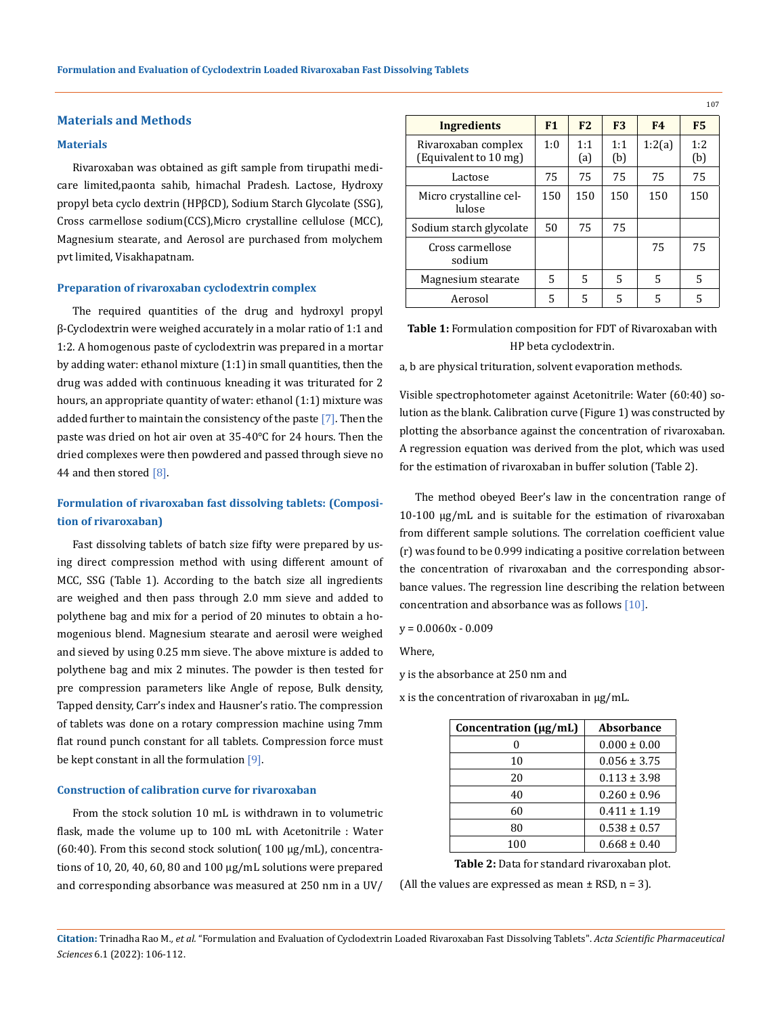## **Materials and Methods**

#### **Materials**

Rivaroxaban was obtained as gift sample from tirupathi medicare limited,paonta sahib, himachal Pradesh. Lactose, Hydroxy propyl beta cyclo dextrin (HPβCD), Sodium Starch Glycolate (SSG), Cross carmellose sodium(CCS),Micro crystalline cellulose (MCC), Magnesium stearate, and Aerosol are purchased from molychem pvt limited, Visakhapatnam.

#### **Preparation of rivaroxaban cyclodextrin complex**

The required quantities of the drug and hydroxyl propyl β-Cyclodextrin were weighed accurately in a molar ratio of 1:1 and 1:2. A homogenous paste of cyclodextrin was prepared in a mortar by adding water: ethanol mixture (1:1) in small quantities, then the drug was added with continuous kneading it was triturated for 2 hours, an appropriate quantity of water: ethanol (1:1) mixture was added further to maintain the consistency of the paste [7]. Then the paste was dried on hot air oven at 35-40°C for 24 hours. Then the dried complexes were then powdered and passed through sieve no 44 and then stored [8].

## **Formulation of rivaroxaban fast dissolving tablets: (Composition of rivaroxaban)**

Fast dissolving tablets of batch size fifty were prepared by using direct compression method with using different amount of MCC, SSG (Table 1). According to the batch size all ingredients are weighed and then pass through 2.0 mm sieve and added to polythene bag and mix for a period of 20 minutes to obtain a homogenious blend. Magnesium stearate and aerosil were weighed and sieved by using 0.25 mm sieve. The above mixture is added to polythene bag and mix 2 minutes. The powder is then tested for pre compression parameters like Angle of repose, Bulk density, Tapped density, Carr's index and Hausner's ratio. The compression of tablets was done on a rotary compression machine using 7mm flat round punch constant for all tablets. Compression force must be kept constant in all the formulation  $[9]$ .

## **Construction of calibration curve for rivaroxaban**

From the stock solution 10 mL is withdrawn in to volumetric flask, made the volume up to 100 mL with Acetonitrile : Water (60:40). From this second stock solution( $100 \mu g/mL$ ), concentrations of 10, 20, 40, 60, 80 and 100 µg/mL solutions were prepared and corresponding absorbance was measured at 250 nm in a UV/

|                                              |     |                |                |           | 107            |
|----------------------------------------------|-----|----------------|----------------|-----------|----------------|
| <b>Ingredients</b>                           | F1  | F <sub>2</sub> | F <sub>3</sub> | <b>F4</b> | F <sub>5</sub> |
| Rivaroxaban complex<br>(Equivalent to 10 mg) | 1:0 | 1:1<br>(a)     | 1:1<br>(b)     | 1:2(a)    | 1:2<br>(b)     |
| Lactose                                      | 75  | 75             | 75             | 75        | 75             |
| Micro crystalline cel-<br>lulose             | 150 | 150            | 150            | 150       | 150            |
| Sodium starch glycolate                      | 50  | 75             | 75             |           |                |
| Cross carmellose<br>sodium                   |     |                |                | 75        | 75             |
| Magnesium stearate                           | 5   | 5              | 5              | 5         | 5              |
| Aerosol                                      | 5   | 5              | 5              | 5         | 5              |

 $107$ 

## **Table 1:** Formulation composition for FDT of Rivaroxaban with HP beta cyclodextrin.

a, b are physical trituration, solvent evaporation methods.

Visible spectrophotometer against Acetonitrile: Water (60:40) solution as the blank. Calibration curve (Figure 1) was constructed by plotting the absorbance against the concentration of rivaroxaban. A regression equation was derived from the plot, which was used for the estimation of rivaroxaban in buffer solution (Table 2).

The method obeyed Beer's law in the concentration range of 10-100 µg/mL and is suitable for the estimation of rivaroxaban from different sample solutions. The correlation coefficient value (r) was found to be 0.999 indicating a positive correlation between the concentration of rivaroxaban and the corresponding absorbance values. The regression line describing the relation between concentration and absorbance was as follows [10].

 $y = 0.0060x - 0.009$ 

Where,

y is the absorbance at 250 nm and

x is the concentration of rivaroxaban in µg/mL.

| Concentration (µg/mL) | <b>Absorbance</b> |
|-----------------------|-------------------|
|                       | $0.000 \pm 0.00$  |
| 10                    | $0.056 \pm 3.75$  |
| 20                    | $0.113 \pm 3.98$  |
| 40                    | $0.260 \pm 0.96$  |
| 60                    | $0.411 \pm 1.19$  |
| 80                    | $0.538 \pm 0.57$  |
| 100                   | $0.668 \pm 0.40$  |

**Table 2:** Data for standard rivaroxaban plot.

(All the values are expressed as mean  $\pm$  RSD, n = 3).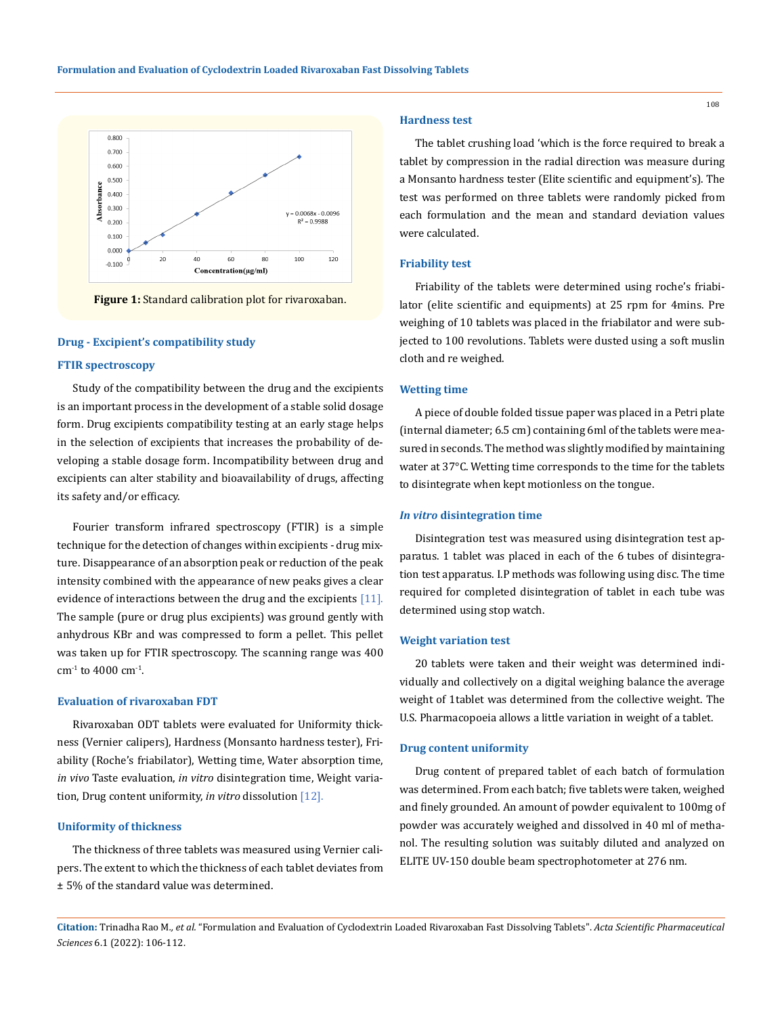

**Figure 1:** Standard calibration plot for rivaroxaban.

#### **Drug - Excipient's compatibility study**

#### **FTIR spectroscopy**

Study of the compatibility between the drug and the excipients is an important process in the development of a stable solid dosage form. Drug excipients compatibility testing at an early stage helps in the selection of excipients that increases the probability of developing a stable dosage form. Incompatibility between drug and excipients can alter stability and bioavailability of drugs, affecting its safety and/or efficacy.

Fourier transform infrared spectroscopy (FTIR) is a simple technique for the detection of changes within excipients - drug mixture. Disappearance of an absorption peak or reduction of the peak intensity combined with the appearance of new peaks gives a clear evidence of interactions between the drug and the excipients [11]. The sample (pure or drug plus excipients) was ground gently with anhydrous KBr and was compressed to form a pellet. This pellet was taken up for FTIR spectroscopy. The scanning range was 400 cm-1 to 4000 cm-1.

#### **Evaluation of rivaroxaban FDT**

Rivaroxaban ODT tablets were evaluated for Uniformity thickness (Vernier calipers), Hardness (Monsanto hardness tester), Friability (Roche's friabilator), Wetting time, Water absorption time, *in vivo* Taste evaluation, *in vitro* disintegration time, Weight variation, Drug content uniformity, *in vitro* dissolution [12].

## **Uniformity of thickness**

The thickness of three tablets was measured using Vernier calipers. The extent to which the thickness of each tablet deviates from ± 5% of the standard value was determined.

## **Hardness test**

The tablet crushing load 'which is the force required to break a tablet by compression in the radial direction was measure during a Monsanto hardness tester (Elite scientific and equipment's). The test was performed on three tablets were randomly picked from each formulation and the mean and standard deviation values were calculated.

#### **Friability test**

Friability of the tablets were determined using roche's friabilator (elite scientific and equipments) at 25 rpm for 4mins. Pre weighing of 10 tablets was placed in the friabilator and were subjected to 100 revolutions. Tablets were dusted using a soft muslin cloth and re weighed.

## **Wetting time**

A piece of double folded tissue paper was placed in a Petri plate (internal diameter; 6.5 cm) containing 6ml of the tablets were measured in seconds. The method was slightly modified by maintaining water at 37°C. Wetting time corresponds to the time for the tablets to disintegrate when kept motionless on the tongue.

#### *In vitro* **disintegration time**

Disintegration test was measured using disintegration test apparatus. 1 tablet was placed in each of the 6 tubes of disintegration test apparatus. I.P methods was following using disc. The time required for completed disintegration of tablet in each tube was determined using stop watch.

## **Weight variation test**

20 tablets were taken and their weight was determined individually and collectively on a digital weighing balance the average weight of 1tablet was determined from the collective weight. The U.S. Pharmacopoeia allows a little variation in weight of a tablet.

#### **Drug content uniformity**

Drug content of prepared tablet of each batch of formulation was determined. From each batch; five tablets were taken, weighed and finely grounded. An amount of powder equivalent to 100mg of powder was accurately weighed and dissolved in 40 ml of methanol. The resulting solution was suitably diluted and analyzed on ELITE UV-150 double beam spectrophotometer at 276 nm.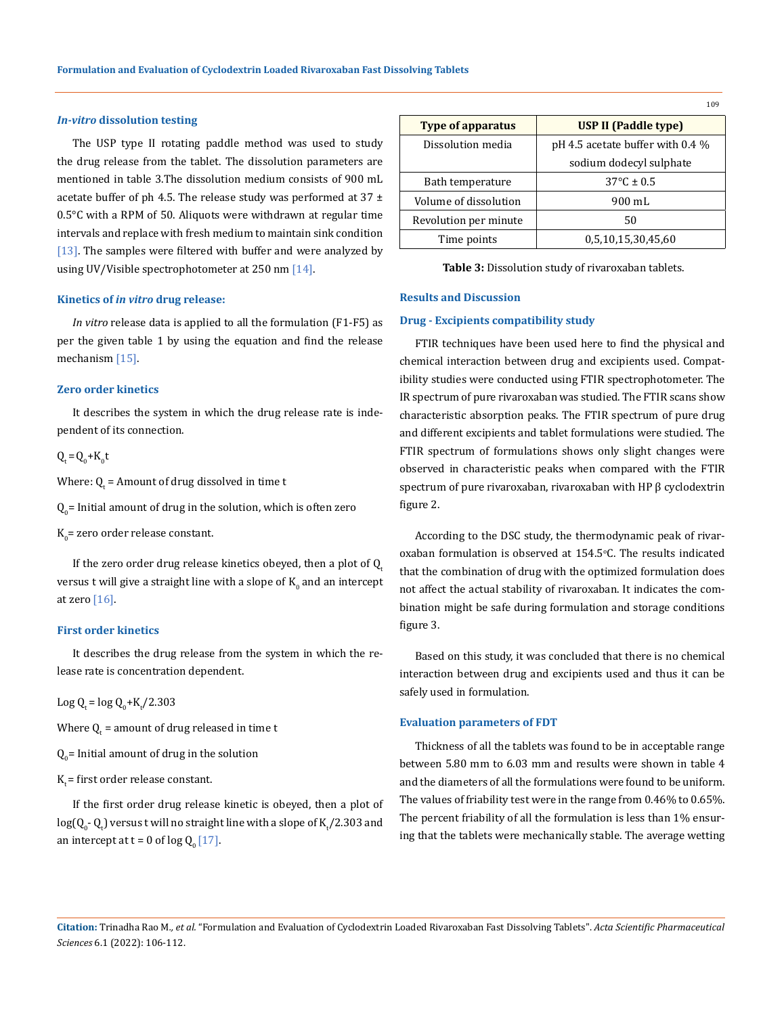#### *In-vitro* **dissolution testing**

The USP type II rotating paddle method was used to study the drug release from the tablet. The dissolution parameters are mentioned in table 3.The dissolution medium consists of 900 mL acetate buffer of ph 4.5. The release study was performed at 37  $\pm$ 0.5°C with a RPM of 50. Aliquots were withdrawn at regular time intervals and replace with fresh medium to maintain sink condition [13]. The samples were filtered with buffer and were analyzed by using UV/Visible spectrophotometer at  $250$  nm  $[14]$ .

#### **Kinetics of** *in vitro* **drug release:**

*In vitro* release data is applied to all the formulation (F1-F5) as per the given table 1 by using the equation and find the release mechanism [15].

## **Zero order kinetics**

It describes the system in which the drug release rate is independent of its connection.

$$
Q_t = Q_0 + K_0 t
$$

Where:  $Q_t$  = Amount of drug dissolved in time t

 $\mathbf{Q}_{0}$ = Initial amount of drug in the solution, which is often zero

 $\mathrm{K}_0^{\phantom{\dag}}$ = zero order release constant.

If the zero order drug release kinetics obeyed, then a plot of  $Q_t$ versus t will give a straight line with a slope of  $\mathsf{K}_{\scriptscriptstyle{0}}$  and an intercept  $\overline{\phantom{a}}$ at zero  $[16]$ .

### **First order kinetics**

It describes the drug release from the system in which the release rate is concentration dependent.

Log  $Q_t = \log Q_0 + K_t / 2.303$ 

Where  $Q_t$  = amount of drug released in time t

 $\mathrm{Q}_0^{\phantom{\dag}}$  = Initial amount of drug in the solution

 $K_t$  = first order release constant.

If the first order drug release kinetic is obeyed, then a plot of  $log(Q_{\scriptscriptstyle 0}$ -  $Q_{\scriptscriptstyle \rm t}$ ) versus t will no straight line with a slope of K  $_{\scriptscriptstyle \rm t}$ /2.303 and an intercept at  $t = 0$  of  $\log Q_0$  [17].

| <b>Type of apparatus</b> | <b>USP II (Paddle type)</b>         |
|--------------------------|-------------------------------------|
| Dissolution media        | pH 4.5 acetate buffer with 0.4 $\%$ |
|                          | sodium dodecyl sulphate             |
| Bath temperature         | $37^{\circ}$ C ± 0.5                |
| Volume of dissolution    | 900 mL                              |
| Revolution per minute    | 50                                  |
| Time points              | 0,5,10,15,30,45,60                  |
|                          |                                     |

**Table 3:** Dissolution study of rivaroxaban tablets.

#### **Results and Discussion**

#### **Drug - Excipients compatibility study**

FTIR techniques have been used here to find the physical and chemical interaction between drug and excipients used. Compatibility studies were conducted using FTIR spectrophotometer. The IR spectrum of pure rivaroxaban was studied. The FTIR scans show characteristic absorption peaks. The FTIR spectrum of pure drug and different excipients and tablet formulations were studied. The FTIR spectrum of formulations shows only slight changes were observed in characteristic peaks when compared with the FTIR spectrum of pure rivaroxaban, rivaroxaban with HP β cyclodextrin figure 2.

According to the DSC study, the thermodynamic peak of rivaroxaban formulation is observed at 154.5°C. The results indicated that the combination of drug with the optimized formulation does not affect the actual stability of rivaroxaban. It indicates the combination might be safe during formulation and storage conditions figure 3.

Based on this study, it was concluded that there is no chemical interaction between drug and excipients used and thus it can be safely used in formulation.

#### **Evaluation parameters of FDT**

Thickness of all the tablets was found to be in acceptable range between 5.80 mm to 6.03 mm and results were shown in table 4 and the diameters of all the formulations were found to be uniform. The values of friability test were in the range from 0.46% to 0.65%. The percent friability of all the formulation is less than 1% ensuring that the tablets were mechanically stable. The average wetting

**Citation:** Trinadha Rao M*., et al.* "Formulation and Evaluation of Cyclodextrin Loaded Rivaroxaban Fast Dissolving Tablets". *Acta Scientific Pharmaceutical Sciences* 6.1 (2022): 106-112.

109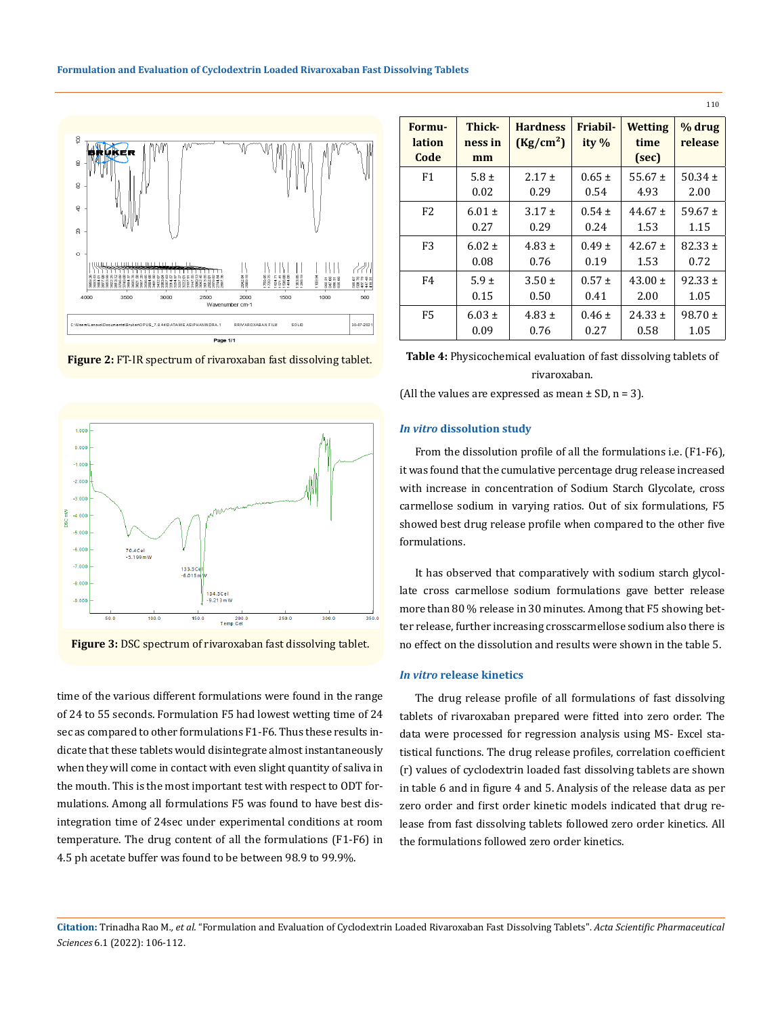



**Figure 2:** FT-IR spectrum of rivaroxaban fast dissolving tablet.



**Figure 3:** DSC spectrum of rivaroxaban fast dissolving tablet.

time of the various different formulations were found in the range of 24 to 55 seconds. Formulation F5 had lowest wetting time of 24 sec as compared to other formulations F1-F6. Thus these results indicate that these tablets would disintegrate almost instantaneously when they will come in contact with even slight quantity of saliva in the mouth. This is the most important test with respect to ODT formulations. Among all formulations F5 was found to have best disintegration time of 24sec under experimental conditions at room temperature. The drug content of all the formulations (F1-F6) in 4.5 ph acetate buffer was found to be between 98.9 to 99.9%.

| Formu-<br>lation<br>Code | Thick-<br>ness in<br>mm | <b>Hardness</b><br>(Kg/cm <sup>2</sup> ) | Friabil-<br>ity $%$ | Wetting<br>time<br>(sec) | % drug<br>release |
|--------------------------|-------------------------|------------------------------------------|---------------------|--------------------------|-------------------|
| F1                       | $5.8 \pm$               | $2.17 \pm$                               | $0.65 \pm$          | $55.67 \pm$              | $50.34 \pm$       |
|                          | 0.02                    | 0.29                                     | 0.54                | 4.93                     | 2.00              |
| F <sub>2</sub>           | 6.01 $\pm$              | $3.17 \pm$                               | $0.54 \pm$          | $44.67 \pm$              | $59.67 \pm$       |
|                          | 0.27                    | 0.29                                     | 0.24                | 1.53                     | 1.15              |
| F3                       | $6.02 \pm$              | $4.83 \pm$                               | $0.49 \pm$          | $42.67 \pm$              | $82.33 \pm$       |
|                          | 0.08                    | 0.76                                     | 0.19                | 1.53                     | 0.72              |
| F4                       | $5.9 +$                 | $3.50 \pm$                               | $0.57 \pm$          | $43.00 \pm$              | $92.33 \pm$       |
|                          | 0.15                    | 0.50                                     | 0.41                | 2.00                     | 1.05              |
| F5                       | $6.03 \pm$              | $4.83 \pm$                               | $0.46 \pm$          | $24.33 \pm$              | $98.70 \pm$       |
|                          | 0.09                    | 0.76                                     | 0.27                | 0.58                     | 1.05              |

**Table 4:** Physicochemical evaluation of fast dissolving tablets of rivaroxaban.

(All the values are expressed as mean  $\pm$  SD, n = 3).

## *In vitro* **dissolution study**

From the dissolution profile of all the formulations i.e. (F1-F6), it was found that the cumulative percentage drug release increased with increase in concentration of Sodium Starch Glycolate, cross carmellose sodium in varying ratios. Out of six formulations, F5 showed best drug release profile when compared to the other five formulations.

It has observed that comparatively with sodium starch glycollate cross carmellose sodium formulations gave better release more than 80 % release in 30 minutes. Among that F5 showing better release, further increasing crosscarmellose sodium also there is no effect on the dissolution and results were shown in the table 5.

## *In vitro* **release kinetics**

The drug release profile of all formulations of fast dissolving tablets of rivaroxaban prepared were fitted into zero order. The data were processed for regression analysis using MS- Excel statistical functions. The drug release profiles, correlation coefficient (r) values of cyclodextrin loaded fast dissolving tablets are shown in table 6 and in figure 4 and 5. Analysis of the release data as per zero order and first order kinetic models indicated that drug release from fast dissolving tablets followed zero order kinetics. All the formulations followed zero order kinetics.

## **Citation:** Trinadha Rao M*., et al.* "Formulation and Evaluation of Cyclodextrin Loaded Rivaroxaban Fast Dissolving Tablets". *Acta Scientific Pharmaceutical Sciences* 6.1 (2022): 106-112.

110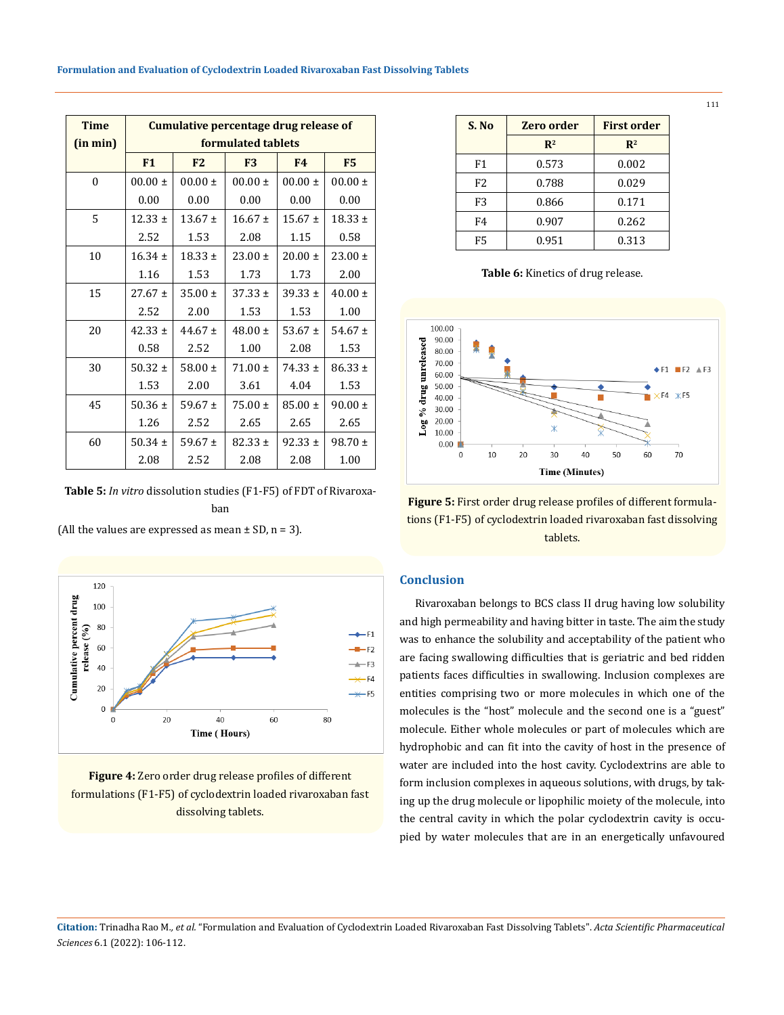| <b>Time</b> | Cumulative percentage drug release of |                |                |             |                |
|-------------|---------------------------------------|----------------|----------------|-------------|----------------|
| (in min)    | formulated tablets                    |                |                |             |                |
|             | F1                                    | F <sub>2</sub> | F <sub>3</sub> | <b>F4</b>   | F <sub>5</sub> |
| $\theta$    | $00.00 \pm$                           | $00.00 \pm$    | $00.00 \pm$    | $00.00 \pm$ | $00.00 \pm$    |
|             | 0.00                                  | 0.00           | 0.00           | 0.00        | 0.00           |
| 5           | $12.33 \pm$                           | $13.67 \pm$    | $16.67 \pm$    | $15.67 \pm$ | $18.33 \pm$    |
|             | 2.52                                  | 1.53           | 2.08           | 1.15        | 0.58           |
| 10          | $16.34 \pm$                           | $18.33 \pm$    | $23.00 \pm$    | $20.00 \pm$ | $23.00 \pm$    |
|             | 1.16                                  | 1.53           | 1.73           | 1.73        | 2.00           |
| 15          | $27.67 \pm$                           | $35.00 \pm$    | $37.33 \pm$    | $39.33 \pm$ | $40.00 \pm$    |
|             | 2.52                                  | 2.00           | 1.53           | 1.53        | 1.00           |
| 20          | $42.33 \pm$                           | $44.67 \pm$    | $48.00 \pm$    | $53.67 \pm$ | $54.67 \pm$    |
|             | 0.58                                  | 2.52           | 1.00           | 2.08        | 1.53           |
| 30          | $50.32 \pm$                           | 58.00 $\pm$    | $71.00 \pm$    | $74.33 \pm$ | $86.33 \pm$    |
|             | 1.53                                  | 2.00           | 3.61           | 4.04        | 1.53           |
| 45          | $50.36 \pm$                           | $59.67 \pm$    | $75.00 \pm$    | $85.00 \pm$ | $90.00 \pm$    |
|             | 1.26                                  | 2.52           | 2.65           | 2.65        | 2.65           |
| 60          | $50.34 \pm$                           | $59.67 \pm$    | $82.33 \pm$    | $92.33 \pm$ | $98.70 \pm$    |
|             | 2.08                                  | 2.52           | 2.08           | 2.08        | 1.00           |

**Table 5:** *In vitro* dissolution studies (F1-F5) of FDT of Rivaroxaban

(All the values are expressed as mean  $\pm$  SD, n = 3).



**Figure 4:** Zero order drug release profiles of different formulations (F1-F5) of cyclodextrin loaded rivaroxaban fast dissolving tablets.

| S. No          | <b>Zero order</b> | <b>First order</b> |  |
|----------------|-------------------|--------------------|--|
|                | $\mathbb{R}^2$    | $R^2$              |  |
| F1             | 0.573             | 0.002              |  |
| F <sub>2</sub> | 0.788             | 0.029              |  |
| F3             | 0.866             | 0.171              |  |
| F4             | 0.907             | 0.262              |  |
| F5             | 0.951             | 0.313              |  |

**Table 6:** Kinetics of drug release.



**Figure 5:** First order drug release profiles of different formulations (F1-F5) of cyclodextrin loaded rivaroxaban fast dissolving tablets.

### **Conclusion**

Rivaroxaban belongs to BCS class II drug having low solubility and high permeability and having bitter in taste. The aim the study was to enhance the solubility and acceptability of the patient who are facing swallowing difficulties that is geriatric and bed ridden patients faces difficulties in swallowing. Inclusion complexes are entities comprising two or more molecules in which one of the molecules is the "host" molecule and the second one is a "guest" molecule. Either whole molecules or part of molecules which are hydrophobic and can fit into the cavity of host in the presence of water are included into the host cavity. Cyclodextrins are able to form inclusion complexes in aqueous solutions, with drugs, by taking up the drug molecule or lipophilic moiety of the molecule, into the central cavity in which the polar cyclodextrin cavity is occupied by water molecules that are in an energetically unfavoured